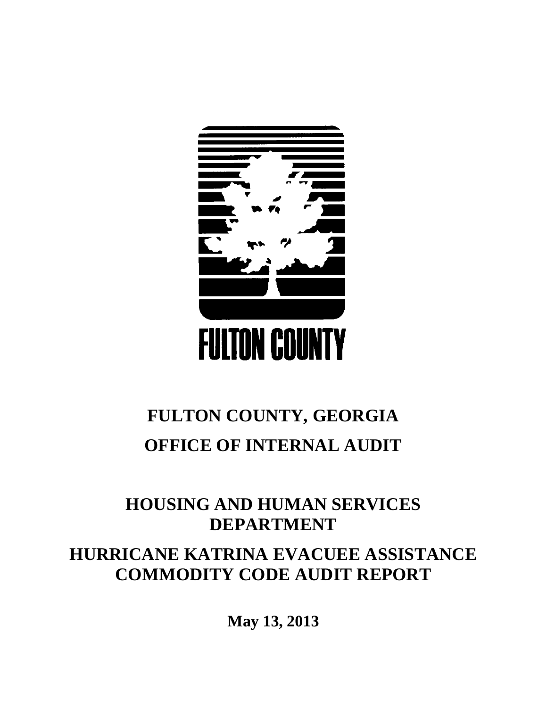

# **FULTON COUNTY, GEORGIA OFFICE OF INTERNAL AUDIT**

## **HOUSING AND HUMAN SERVICES DEPARTMENT**

## **HURRICANE KATRINA EVACUEE ASSISTANCE COMMODITY CODE AUDIT REPORT**

**May 13, 2013**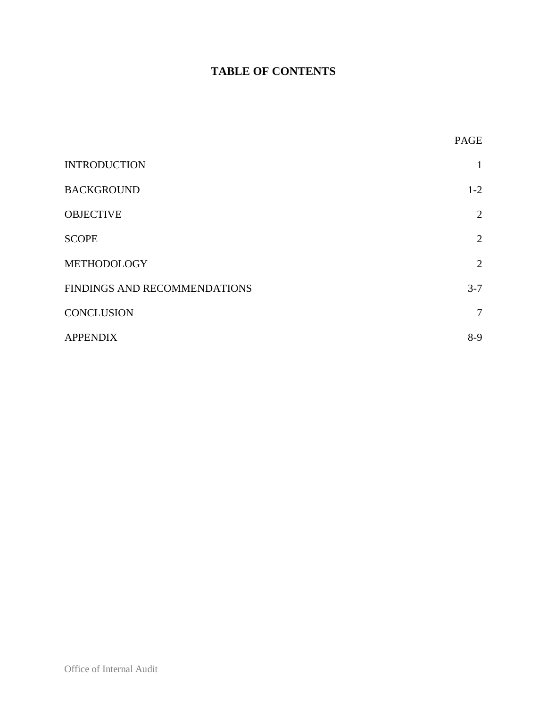### **TABLE OF CONTENTS**

|                              | PAGE            |
|------------------------------|-----------------|
| <b>INTRODUCTION</b>          | 1               |
| <b>BACKGROUND</b>            | $1-2$           |
| <b>OBJECTIVE</b>             | 2               |
| <b>SCOPE</b>                 | $\overline{2}$  |
| METHODOLOGY                  | 2               |
| FINDINGS AND RECOMMENDATIONS | $3 - 7$         |
| <b>CONCLUSION</b>            | $7\phantom{.0}$ |
| <b>APPENDIX</b>              | $8-9$           |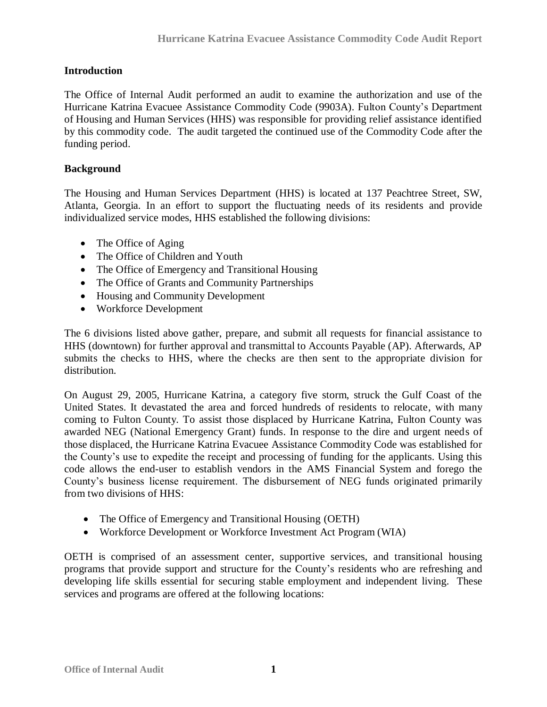#### <span id="page-2-0"></span>**Introduction**

The Office of Internal Audit performed an audit to examine the authorization and use of the Hurricane Katrina Evacuee Assistance Commodity Code (9903A). Fulton County's Department of Housing and Human Services (HHS) was responsible for providing relief assistance identified by this commodity code. The audit targeted the continued use of the Commodity Code after the funding period.

#### <span id="page-2-1"></span>**Background**

The Housing and Human Services Department (HHS) is located at 137 Peachtree Street, SW, Atlanta, Georgia. In an effort to support the fluctuating needs of its residents and provide individualized service modes, HHS established the following divisions:

- The Office of Aging
- The Office of Children and Youth
- The Office of Emergency and Transitional Housing
- The Office of Grants and Community Partnerships
- Housing and Community Development
- Workforce Development

The 6 divisions listed above gather, prepare, and submit all requests for financial assistance to HHS (downtown) for further approval and transmittal to Accounts Payable (AP). Afterwards, AP submits the checks to HHS, where the checks are then sent to the appropriate division for distribution.

On August 29, 2005, Hurricane Katrina, a category five storm, struck the Gulf Coast of the United States. It devastated the area and forced hundreds of residents to relocate, with many coming to Fulton County. To assist those displaced by Hurricane Katrina, Fulton County was awarded NEG (National Emergency Grant) funds. In response to the dire and urgent needs of those displaced, the Hurricane Katrina Evacuee Assistance Commodity Code was established for the County's use to expedite the receipt and processing of funding for the applicants. Using this code allows the end-user to establish vendors in the AMS Financial System and forego the County's business license requirement. The disbursement of NEG funds originated primarily from two divisions of HHS:

- The Office of Emergency and Transitional Housing (OETH)
- Workforce Development or Workforce Investment Act Program (WIA)

OETH is comprised of an assessment center, supportive services, and transitional housing programs that provide support and structure for the County's residents who are refreshing and developing life skills essential for securing stable employment and independent living. These services and programs are offered at the following locations: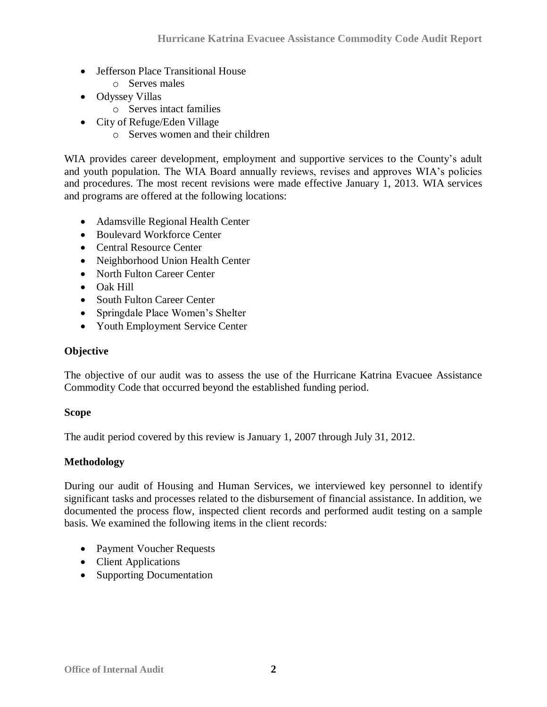- Jefferson Place Transitional House
	- o Serves males
- Odyssey Villas
	- o Serves intact families
- City of Refuge/Eden Village
	- o Serves women and their children

WIA provides career development, employment and supportive services to the County's adult and youth population. The WIA Board annually reviews, revises and approves WIA's policies and procedures. The most recent revisions were made effective January 1, 2013. WIA services and programs are offered at the following locations:

- Adamsville Regional Health Center
- Boulevard Workforce Center
- Central Resource Center
- Neighborhood Union Health Center
- North Fulton Career Center
- Oak Hill
- South Fulton Career Center
- Springdale Place Women's Shelter
- Youth Employment Service Center

#### <span id="page-3-0"></span>**Objective**

The objective of our audit was to assess the use of the Hurricane Katrina Evacuee Assistance Commodity Code that occurred beyond the established funding period.

#### <span id="page-3-1"></span>**Scope**

The audit period covered by this review is January 1, 2007 through July 31, 2012.

#### <span id="page-3-2"></span>**Methodology**

During our audit of Housing and Human Services, we interviewed key personnel to identify significant tasks and processes related to the disbursement of financial assistance. In addition, we documented the process flow, inspected client records and performed audit testing on a sample basis. We examined the following items in the client records:

- Payment Voucher Requests
- Client Applications
- Supporting Documentation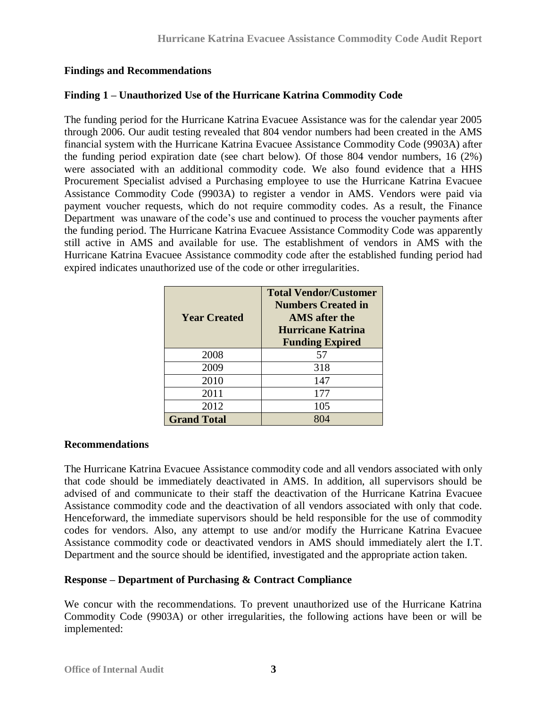#### <span id="page-4-0"></span>**Findings and Recommendations**

#### **Finding 1 – Unauthorized Use of the Hurricane Katrina Commodity Code**

The funding period for the Hurricane Katrina Evacuee Assistance was for the calendar year 2005 through 2006. Our audit testing revealed that 804 vendor numbers had been created in the AMS financial system with the Hurricane Katrina Evacuee Assistance Commodity Code (9903A) after the funding period expiration date (see chart below). Of those 804 vendor numbers, 16 (2%) were associated with an additional commodity code. We also found evidence that a HHS Procurement Specialist advised a Purchasing employee to use the Hurricane Katrina Evacuee Assistance Commodity Code (9903A) to register a vendor in AMS. Vendors were paid via payment voucher requests, which do not require commodity codes. As a result, the Finance Department was unaware of the code's use and continued to process the voucher payments after the funding period. The Hurricane Katrina Evacuee Assistance Commodity Code was apparently still active in AMS and available for use. The establishment of vendors in AMS with the Hurricane Katrina Evacuee Assistance commodity code after the established funding period had expired indicates unauthorized use of the code or other irregularities.

| <b>Year Created</b> | <b>Total Vendor/Customer</b><br><b>Numbers Created in</b><br>AMS after the<br><b>Hurricane Katrina</b><br><b>Funding Expired</b> |
|---------------------|----------------------------------------------------------------------------------------------------------------------------------|
| 2008                | 57                                                                                                                               |
| 2009                | 318                                                                                                                              |
| 2010                | 147                                                                                                                              |
| 2011                | 177                                                                                                                              |
| 2012                | 105                                                                                                                              |
| <b>Grand Total</b>  |                                                                                                                                  |

#### **Recommendations**

The Hurricane Katrina Evacuee Assistance commodity code and all vendors associated with only that code should be immediately deactivated in AMS. In addition, all supervisors should be advised of and communicate to their staff the deactivation of the Hurricane Katrina Evacuee Assistance commodity code and the deactivation of all vendors associated with only that code. Henceforward, the immediate supervisors should be held responsible for the use of commodity codes for vendors. Also, any attempt to use and/or modify the Hurricane Katrina Evacuee Assistance commodity code or deactivated vendors in AMS should immediately alert the I.T. Department and the source should be identified, investigated and the appropriate action taken.

#### **Response – Department of Purchasing & Contract Compliance**

We concur with the recommendations. To prevent unauthorized use of the Hurricane Katrina Commodity Code (9903A) or other irregularities, the following actions have been or will be implemented: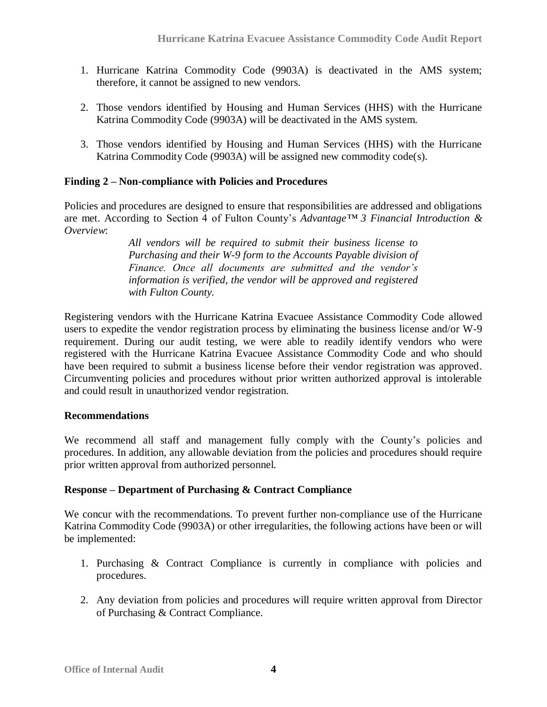- 1. Hurricane Katrina Commodity Code (9903A) is deactivated in the AMS system; therefore, it cannot be assigned to new vendors.
- 2. Those vendors identified by Housing and Human Services (HHS) with the Hurricane Katrina Commodity Code (9903A) will be deactivated in the AMS system.
- 3. Those vendors identified by Housing and Human Services (HHS) with the Hurricane Katrina Commodity Code (9903A) will be assigned new commodity code(s).

#### **Finding 2 – Non-compliance with Policies and Procedures**

Policies and procedures are designed to ensure that responsibilities are addressed and obligations are met. According to Section 4 of Fulton County's *Advantage™ 3 Financial Introduction & Overview*:

> *All vendors will be required to submit their business license to Purchasing and their W-9 form to the Accounts Payable division of Finance. Once all documents are submitted and the vendor's information is verified, the vendor will be approved and registered with Fulton County.*

Registering vendors with the Hurricane Katrina Evacuee Assistance Commodity Code allowed users to expedite the vendor registration process by eliminating the business license and/or W-9 requirement. During our audit testing, we were able to readily identify vendors who were registered with the Hurricane Katrina Evacuee Assistance Commodity Code and who should have been required to submit a business license before their vendor registration was approved. Circumventing policies and procedures without prior written authorized approval is intolerable and could result in unauthorized vendor registration.

#### **Recommendations**

We recommend all staff and management fully comply with the County's policies and procedures. In addition, any allowable deviation from the policies and procedures should require prior written approval from authorized personnel.

#### **Response – Department of Purchasing & Contract Compliance**

We concur with the recommendations. To prevent further non-compliance use of the Hurricane Katrina Commodity Code (9903A) or other irregularities, the following actions have been or will be implemented:

- 1. Purchasing & Contract Compliance is currently in compliance with policies and procedures.
- 2. Any deviation from policies and procedures will require written approval from Director of Purchasing & Contract Compliance.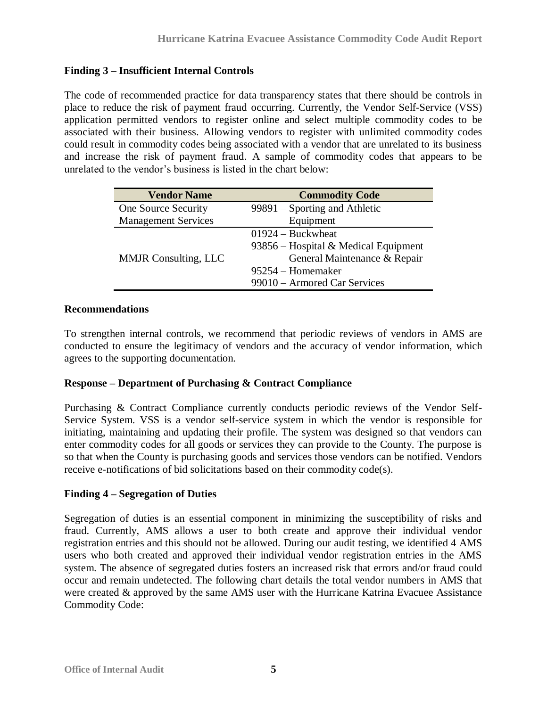#### **Finding 3 – Insufficient Internal Controls**

The code of recommended practice for data transparency states that there should be controls in place to reduce the risk of payment fraud occurring. Currently, the Vendor Self-Service (VSS) application permitted vendors to register online and select multiple commodity codes to be associated with their business. Allowing vendors to register with unlimited commodity codes could result in commodity codes being associated with a vendor that are unrelated to its business and increase the risk of payment fraud. A sample of commodity codes that appears to be unrelated to the vendor's business is listed in the chart below:

| <b>Vendor Name</b>          | <b>Commodity Code</b>                |  |  |
|-----------------------------|--------------------------------------|--|--|
| One Source Security         | $99891 -$ Sporting and Athletic      |  |  |
| <b>Management Services</b>  | Equipment                            |  |  |
|                             | $01924 - Buckwheat$                  |  |  |
|                             | 93856 – Hospital & Medical Equipment |  |  |
| <b>MMJR</b> Consulting, LLC | General Maintenance & Repair         |  |  |
|                             | 95254 – Homemaker                    |  |  |
|                             | 99010 – Armored Car Services         |  |  |

#### **Recommendations**

To strengthen internal controls, we recommend that periodic reviews of vendors in AMS are conducted to ensure the legitimacy of vendors and the accuracy of vendor information, which agrees to the supporting documentation.

#### **Response – Department of Purchasing & Contract Compliance**

Purchasing & Contract Compliance currently conducts periodic reviews of the Vendor Self-Service System. VSS is a vendor self-service system in which the vendor is responsible for initiating, maintaining and updating their profile. The system was designed so that vendors can enter commodity codes for all goods or services they can provide to the County. The purpose is so that when the County is purchasing goods and services those vendors can be notified. Vendors receive e-notifications of bid solicitations based on their commodity code(s).

#### **Finding 4 – Segregation of Duties**

Segregation of duties is an essential component in minimizing the susceptibility of risks and fraud. Currently, AMS allows a user to both create and approve their individual vendor registration entries and this should not be allowed. During our audit testing, we identified 4 AMS users who both created and approved their individual vendor registration entries in the AMS system. The absence of segregated duties fosters an increased risk that errors and/or fraud could occur and remain undetected. The following chart details the total vendor numbers in AMS that were created & approved by the same AMS user with the Hurricane Katrina Evacuee Assistance Commodity Code: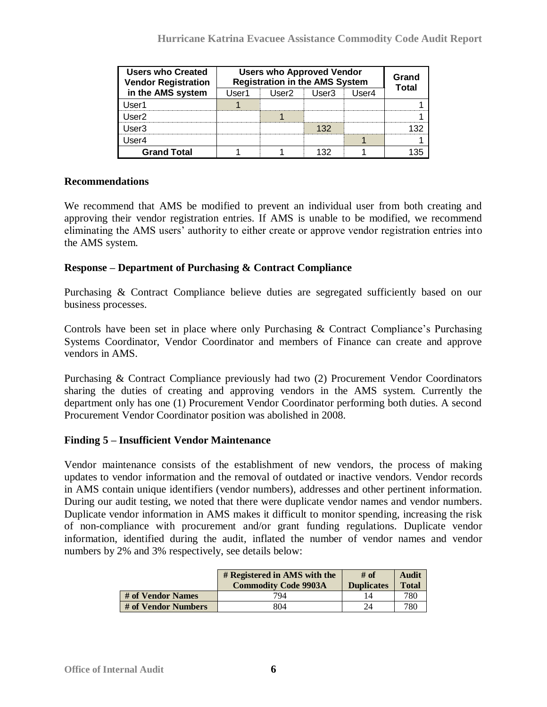| <b>Users who Approved Vendor</b><br><b>Users who Created</b><br><b>Registration in the AMS System</b><br><b>Vendor Registration</b> |         |          |       |       | Grand<br>Total |
|-------------------------------------------------------------------------------------------------------------------------------------|---------|----------|-------|-------|----------------|
| in the AMS system                                                                                                                   | l Iser1 | l Iser2. | User3 | Iser4 |                |
| lser'                                                                                                                               |         |          |       |       |                |
| Iser2                                                                                                                               |         |          |       |       |                |
| Jser3                                                                                                                               |         |          | 132   |       |                |
| Jser4                                                                                                                               |         |          |       |       |                |
| <b>Grand Total</b>                                                                                                                  |         |          |       |       |                |

#### **Recommendations**

We recommend that AMS be modified to prevent an individual user from both creating and approving their vendor registration entries. If AMS is unable to be modified, we recommend eliminating the AMS users' authority to either create or approve vendor registration entries into the AMS system.

#### **Response – Department of Purchasing & Contract Compliance**

Purchasing & Contract Compliance believe duties are segregated sufficiently based on our business processes.

Controls have been set in place where only Purchasing & Contract Compliance's Purchasing Systems Coordinator, Vendor Coordinator and members of Finance can create and approve vendors in AMS.

Purchasing & Contract Compliance previously had two (2) Procurement Vendor Coordinators sharing the duties of creating and approving vendors in the AMS system. Currently the department only has one (1) Procurement Vendor Coordinator performing both duties. A second Procurement Vendor Coordinator position was abolished in 2008.

#### **Finding 5 – Insufficient Vendor Maintenance**

Vendor maintenance consists of the establishment of new vendors, the process of making updates to vendor information and the removal of outdated or inactive vendors. Vendor records in AMS contain unique identifiers (vendor numbers), addresses and other pertinent information. During our audit testing, we noted that there were duplicate vendor names and vendor numbers. Duplicate vendor information in AMS makes it difficult to monitor spending, increasing the risk of non-compliance with procurement and/or grant funding regulations. Duplicate vendor information, identified during the audit, inflated the number of vendor names and vendor numbers by 2% and 3% respectively, see details below:

|                     | # Registered in AMS with the<br><b>Commodity Code 9903A</b> | # of<br><b>Duplicates</b> | <b>Audit</b><br><b>Total</b> |
|---------------------|-------------------------------------------------------------|---------------------------|------------------------------|
| # of Vendor Names   | 794                                                         |                           | 780                          |
| # of Vendor Numbers | 804                                                         | 24                        | 780                          |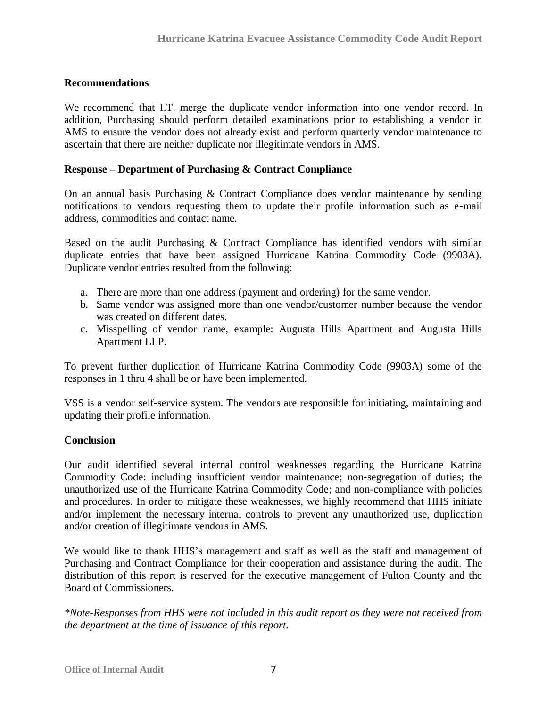#### **Recommendations**

We recommend that I.T. merge the duplicate vendor information into one vendor record. In addition, Purchasing should perform detailed examinations prior to establishing a vendor in AMS to ensure the vendor does not already exist and perform quarterly vendor maintenance to ascertain that there are neither duplicate nor illegitimate vendors in AMS.

#### **Response – Department of Purchasing & Contract Compliance**

On an annual basis Purchasing & Contract Compliance does vendor maintenance by sending notifications to vendors requesting them to update their profile information such as e-mail address, commodities and contact name.

Based on the audit Purchasing & Contract Compliance has identified vendors with similar duplicate entries that have been assigned Hurricane Katrina Commodity Code (9903A). Duplicate vendor entries resulted from the following:

- a. There are more than one address (payment and ordering) for the same vendor.
- b. Same vendor was assigned more than one vendor/customer number because the vendor was created on different dates.
- c. Misspelling of vendor name, example: Augusta Hills Apartment and Augusta Hills Apartment LLP.

To prevent further duplication of Hurricane Katrina Commodity Code (9903A) some of the responses in 1 thru 4 shall be or have been implemented.

VSS is a vendor self-service system. The vendors are responsible for initiating, maintaining and updating their profile information.

#### <span id="page-8-0"></span>**Conclusion**

Our audit identified several internal control weaknesses regarding the Hurricane Katrina Commodity Code: including insufficient vendor maintenance; non-segregation of duties; the unauthorized use of the Hurricane Katrina Commodity Code; and non-compliance with policies and procedures. In order to mitigate these weaknesses, we highly recommend that HHS initiate and/or implement the necessary internal controls to prevent any unauthorized use, duplication and/or creation of illegitimate vendors in AMS.

We would like to thank HHS's management and staff as well as the staff and management of Purchasing and Contract Compliance for their cooperation and assistance during the audit. The distribution of this report is reserved for the executive management of Fulton County and the Board of Commissioners.

<span id="page-8-1"></span>*\*Note-Responses from HHS were not included in this audit report as they were not received from the department at the time of issuance of this report.*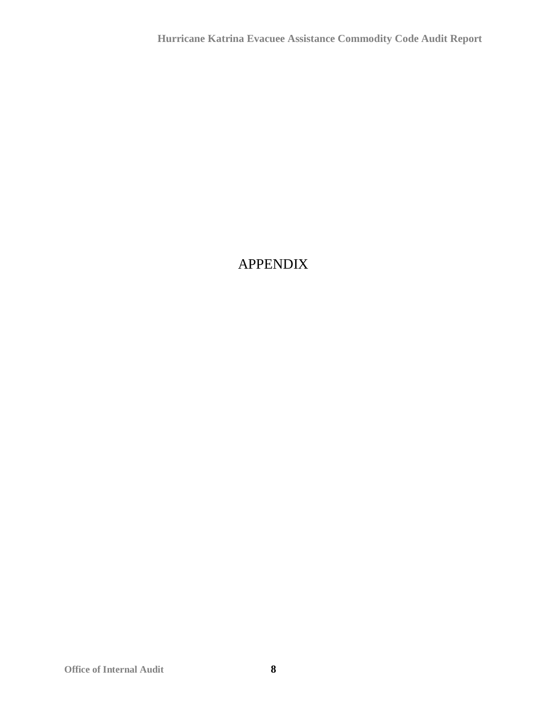### APPENDIX